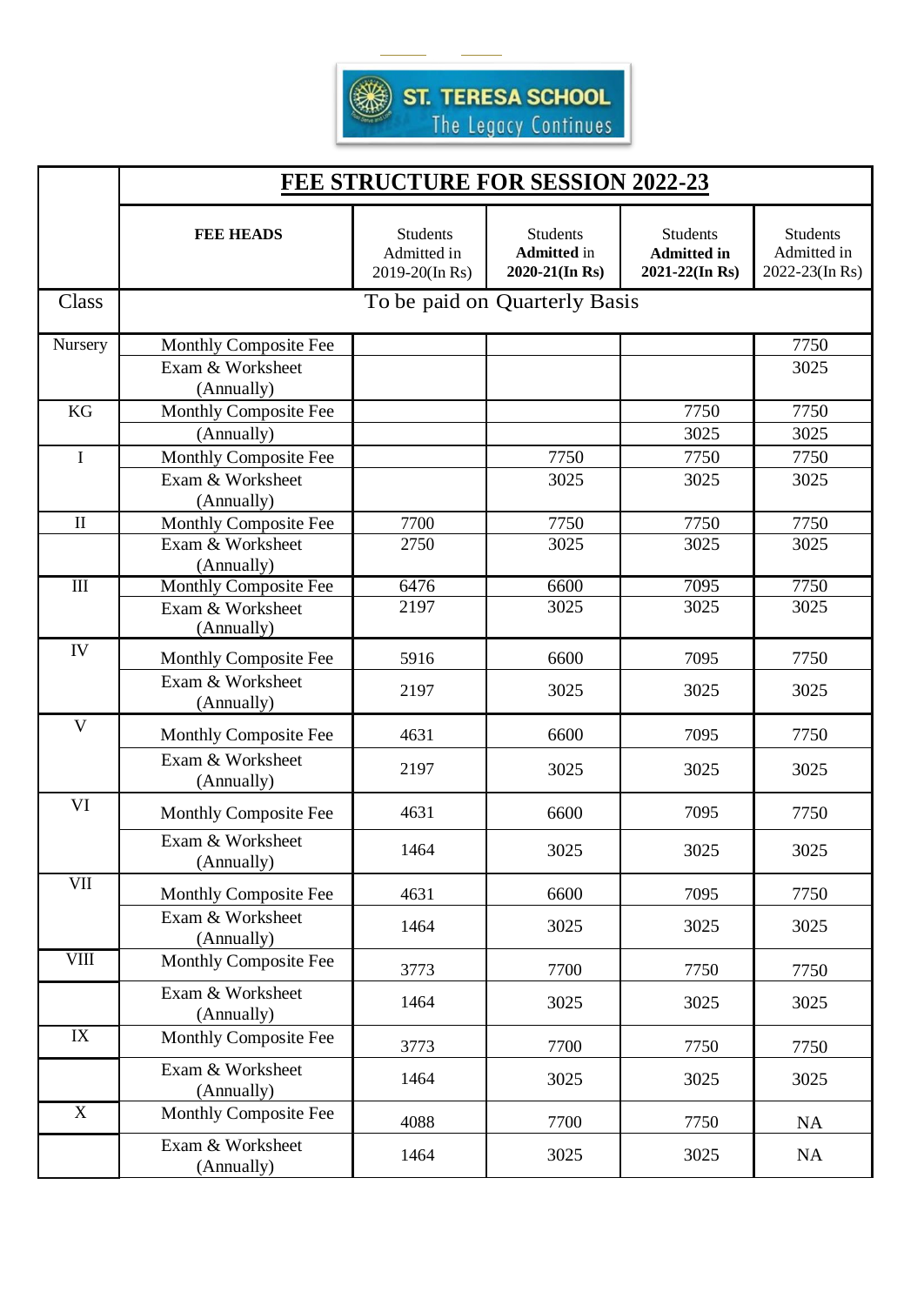

|              | <b>FEE STRUCTURE FOR SESSION 2022-23</b>                       |                                                  |                                                         |                                                              |                                                  |  |  |
|--------------|----------------------------------------------------------------|--------------------------------------------------|---------------------------------------------------------|--------------------------------------------------------------|--------------------------------------------------|--|--|
|              | <b>FEE HEADS</b>                                               | <b>Students</b><br>Admitted in<br>2019-20(In Rs) | <b>Students</b><br><b>Admitted</b> in<br>2020-21(In Rs) | <b>Students</b><br><b>Admitted in</b><br>$2021 - 22$ (In Rs) | <b>Students</b><br>Admitted in<br>2022-23(In Rs) |  |  |
| <b>Class</b> | To be paid on Quarterly Basis                                  |                                                  |                                                         |                                                              |                                                  |  |  |
| Nursery      | Monthly Composite Fee<br>Exam & Worksheet<br>(Annually)        |                                                  |                                                         |                                                              | 7750<br>3025                                     |  |  |
| KG           | Monthly Composite Fee<br>(Annually)                            |                                                  |                                                         | 7750<br>3025                                                 | 7750<br>3025                                     |  |  |
| $\mathbf I$  | Monthly Composite Fee<br>Exam & Worksheet<br>(Annually)        |                                                  | 7750<br>3025                                            | 7750<br>3025                                                 | 7750<br>3025                                     |  |  |
| $\mathbf{I}$ | Monthly Composite Fee<br>Exam & Worksheet<br>(Annually)        | 7700<br>2750                                     | 7750<br>3025                                            | 7750<br>3025                                                 | 7750<br>3025                                     |  |  |
| III          | <b>Monthly Composite Fee</b><br>Exam & Worksheet<br>(Annually) | 6476<br>2197                                     | 6600<br>3025                                            | 7095<br>3025                                                 | 7750<br>3025                                     |  |  |
| IV           | Monthly Composite Fee<br>Exam & Worksheet<br>(Annually)        | 5916<br>2197                                     | 6600<br>3025                                            | 7095<br>3025                                                 | 7750<br>3025                                     |  |  |
| $\mathbf{V}$ | <b>Monthly Composite Fee</b><br>Exam & Worksheet<br>(Annually) | 4631<br>2197                                     | 6600<br>3025                                            | 7095<br>3025                                                 | 7750<br>3025                                     |  |  |
| VI           | <b>Monthly Composite Fee</b>                                   | 4631                                             | 6600                                                    | 7095                                                         | 7750                                             |  |  |
|              | Exam & Worksheet<br>(Annually)                                 | 1464                                             | 3025                                                    | 3025                                                         | 3025                                             |  |  |
| <b>VII</b>   | Monthly Composite Fee<br>Exam & Worksheet                      | 4631                                             | 6600                                                    | 7095                                                         | 7750                                             |  |  |
| <b>VIII</b>  | (Annually)<br>Monthly Composite Fee                            | 1464                                             | 3025                                                    | 3025                                                         | 3025                                             |  |  |
|              | Exam & Worksheet<br>(Annually)                                 | 3773<br>1464                                     | 7700<br>3025                                            | 7750<br>3025                                                 | 7750<br>3025                                     |  |  |
| IX           | Monthly Composite Fee                                          | 3773                                             | 7700                                                    | 7750                                                         | 7750                                             |  |  |
|              | Exam & Worksheet<br>(Annually)                                 | 1464                                             | 3025                                                    | 3025                                                         | 3025                                             |  |  |
| X            | Monthly Composite Fee                                          | 4088                                             | 7700                                                    | 7750                                                         | <b>NA</b>                                        |  |  |
|              | Exam & Worksheet<br>(Annually)                                 | 1464                                             | 3025                                                    | 3025                                                         | <b>NA</b>                                        |  |  |